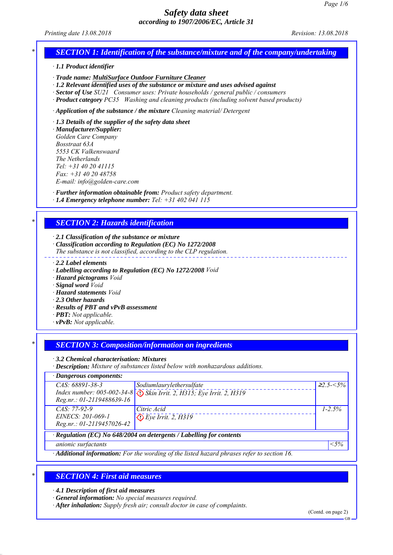*Printing date 13.08.2018 Revision: 13.08.2018*

# *SECTION 1: Identification of the substance/mixture and of the company/undertaking*

*ꞏ 1.1 Product identifier*

*ꞏ Trade name: MultiSurface Outdoor Furniture Cleaner*

*ꞏ 1.2 Relevant identified uses of the substance or mixture and uses advised against*

*ꞏ Sector of Use SU21 Consumer uses: Private households / general public / consumers*

*ꞏ Product category PC35 Washing and cleaning products (including solvent based products)*

*ꞏ Application of the substance / the mixture Cleaning material/ Detergent*

*ꞏ 1.3 Details of the supplier of the safety data sheet*

*ꞏ Manufacturer/Supplier: Golden Care Company Bosstraat 63A 5553 CK Valkenswaard The Netherlands Tel: +31 40 20 41115 Fax: +31 40 20 48758 E-mail: info@golden-care.com*

*ꞏ Further information obtainable from: Product safety department. ꞏ 1.4 Emergency telephone number: Tel: +31 402 041 115*

## *\* SECTION 2: Hazards identification*

*ꞏ 2.1 Classification of the substance or mixture*

*ꞏ Classification according to Regulation (EC) No 1272/2008*

*The substance is not classified, according to the CLP regulation.*

*ꞏ 2.2 Label elements*

*ꞏ Labelling according to Regulation (EC) No 1272/2008 Void*

*ꞏ Hazard pictograms Void*

*ꞏ Signal word Void*

*ꞏ Hazard statements Void*

*ꞏ 2.3 Other hazards*

*ꞏ Results of PBT and vPvB assessment*

*ꞏ PBT: Not applicable.*

*ꞏ vPvB: Not applicable.*

## *\* SECTION 3: Composition/information on ingredients*

*ꞏ 3.2 Chemical characterisation: Mixtures*

*ꞏ Description: Mixture of substances listed below with nonhazardous additions.*

| $\cdot$ Dangerous components:                                        |                                                                      |                  |  |
|----------------------------------------------------------------------|----------------------------------------------------------------------|------------------|--|
| $CAS: 68891 - 38 - 3$                                                | Sodiumlaurylethersulfate                                             | $\geq 2.5 - 5\%$ |  |
|                                                                      | Index number: 005-002-34-8 \ Skin Irrit. 2, H315; Eye Irrit. 2, H319 |                  |  |
| Reg.nr.: 01-2119488639-16                                            |                                                                      |                  |  |
| $CAS: 77-92-9$                                                       | Citric Acid                                                          | $1 - 2.5\%$      |  |
| EINECS: 201-069-1                                                    | $Eye$ Irrit. 2, H319                                                 |                  |  |
| Reg.nr.: 01-2119457026-42                                            |                                                                      |                  |  |
| · Regulation (EC) No 648/2004 on detergents / Labelling for contents |                                                                      |                  |  |
| anionic surfactants                                                  |                                                                      | $< 5\%$          |  |
|                                                                      |                                                                      |                  |  |

*ꞏ Additional information: For the wording of the listed hazard phrases refer to section 16.*

# *\* SECTION 4: First aid measures*

*ꞏ 4.1 Description of first aid measures*

*ꞏ General information: No special measures required.*

*ꞏ After inhalation: Supply fresh air; consult doctor in case of complaints.*

(Contd. on page 2)

GB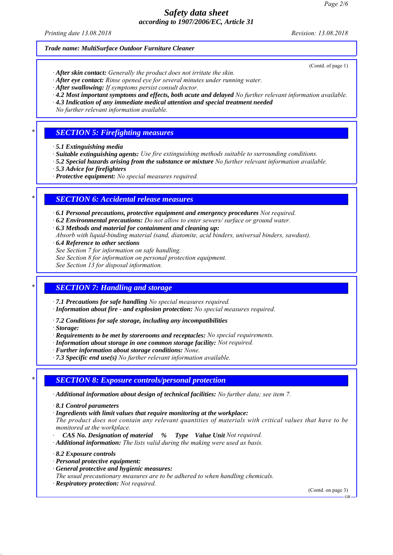*Printing date 13.08.2018 Revision: 13.08.2018*

(Contd. of page 1)

### *Trade name: MultiSurface Outdoor Furniture Cleaner*

- *ꞏ After skin contact: Generally the product does not irritate the skin.*
- *ꞏ After eye contact: Rinse opened eye for several minutes under running water.*
- *ꞏ After swallowing: If symptoms persist consult doctor.*
- *ꞏ 4.2 Most important symptoms and effects, both acute and delayed No further relevant information available.*
- *ꞏ 4.3 Indication of any immediate medical attention and special treatment needed*
- *No further relevant information available.*

### *\* SECTION 5: Firefighting measures*

- *ꞏ 5.1 Extinguishing media*
- *ꞏ Suitable extinguishing agents: Use fire extinguishing methods suitable to surrounding conditions.*
- *ꞏ 5.2 Special hazards arising from the substance or mixture No further relevant information available.*
- *ꞏ 5.3 Advice for firefighters*
- *ꞏ Protective equipment: No special measures required.*

## *\* SECTION 6: Accidental release measures*

*ꞏ 6.1 Personal precautions, protective equipment and emergency procedures Not required.*

- *ꞏ 6.2 Environmental precautions: Do not allow to enter sewers/ surface or ground water.*
- *ꞏ 6.3 Methods and material for containment and cleaning up:*
- *Absorb with liquid-binding material (sand, diatomite, acid binders, universal binders, sawdust).*
- *ꞏ 6.4 Reference to other sections*
- *See Section 7 for information on safe handling.*
- *See Section 8 for information on personal protection equipment.*

*See Section 13 for disposal information.*

## *\* SECTION 7: Handling and storage*

*ꞏ 7.1 Precautions for safe handling No special measures required.*

- *ꞏ Information about fire and explosion protection: No special measures required.*
- *ꞏ 7.2 Conditions for safe storage, including any incompatibilities*
- *ꞏ Storage:*
- *ꞏ Requirements to be met by storerooms and receptacles: No special requirements.*
- *ꞏ Information about storage in one common storage facility: Not required.*
- *ꞏ Further information about storage conditions: None.*
- *ꞏ 7.3 Specific end use(s) No further relevant information available.*

## *\* SECTION 8: Exposure controls/personal protection*

*ꞏ Additional information about design of technical facilities: No further data; see item 7.*

- *ꞏ 8.1 Control parameters*
- *ꞏ Ingredients with limit values that require monitoring at the workplace:*
- *The product does not contain any relevant quantities of materials with critical values that have to be monitored at the workplace.*
- *ꞏ CAS No. Designation of material % Type Value Unit Not required.*

*ꞏ Additional information: The lists valid during the making were used as basis.*

- *ꞏ 8.2 Exposure controls*
- *ꞏ Personal protective equipment:*
- *ꞏ General protective and hygienic measures:*
- *The usual precautionary measures are to be adhered to when handling chemicals.*
- *ꞏ Respiratory protection: Not required.*

(Contd. on page 3)

GB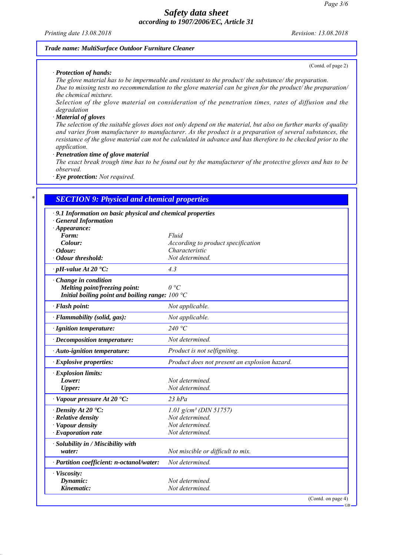*Printing date 13.08.2018 Revision: 13.08.2018*

### *Trade name: MultiSurface Outdoor Furniture Cleaner*

*ꞏ Protection of hands:*

(Contd. of page 2)

*The glove material has to be impermeable and resistant to the product/ the substance/ the preparation. Due to missing tests no recommendation to the glove material can be given for the product/ the preparation/ the chemical mixture.*

*Selection of the glove material on consideration of the penetration times, rates of diffusion and the degradation*

#### *ꞏ Material of gloves*

*The selection of the suitable gloves does not only depend on the material, but also on further marks of quality and varies from manufacturer to manufacturer. As the product is a preparation of several substances, the resistance of the glove material can not be calculated in advance and has therefore to be checked prior to the application.*

*ꞏ Penetration time of glove material*

*The exact break trough time has to be found out by the manufacturer of the protective gloves and has to be observed.*

*ꞏ Eye protection: Not required.*

# *\* SECTION 9: Physical and chemical properties ꞏ 9.1 Information on basic physical and chemical properties ꞏ General Information ꞏ Appearance: Form: Fluid Colour: According to product specification ꞏ Odour: Characteristic ꞏ Odour threshold: Not determined. ꞏ pH-value At 20 °C: 4.3 ꞏ Change in condition Melting point/freezing point: 0 °C Initial boiling point and boiling range: 100 °C ꞏ Flash point: Not applicable. ꞏ Flammability (solid, gas): Not applicable. ꞏ Ignition temperature: 240 °C ꞏ Decomposition temperature: Not determined. ꞏ Auto-ignition temperature: Product is not selfigniting. ꞏ Explosive properties: Product does not present an explosion hazard. ꞏ Explosion limits: Lower: Not determined. Upper: Not determined. ꞏ Vapour pressure At 20 °C: 23 hPa ꞏ Density At 20 °C: 1.01 g/cm³ (DIN 51757) ꞏ Relative density Not determined. ꞏ Vapour density Not determined. ꞏ Evaporation rate Not determined. ꞏ Solubility in / Miscibility with water: Not miscible or difficult to mix. ꞏ Partition coefficient: n-octanol/water: Not determined. ꞏ Viscosity:*

*Dynamic: Not determined. Kinematic: Not determined.*

(Contd. on page 4)

GB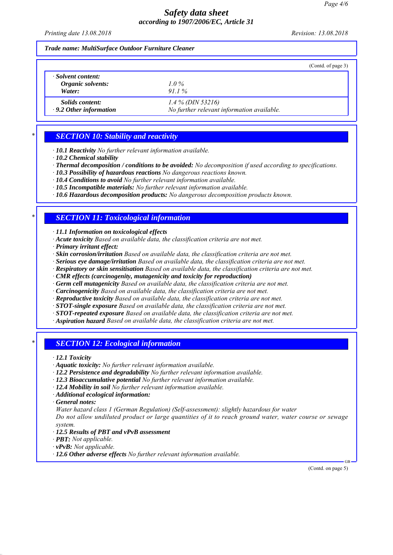*Printing date 13.08.2018 Revision: 13.08.2018*

### *Trade name: MultiSurface Outdoor Furniture Cleaner*

|                                                         | (Contd. of page 3)                                                |
|---------------------------------------------------------|-------------------------------------------------------------------|
| Solvent content:<br>Organic solvents:<br>Water:         | $1.0\%$<br>$911\%$                                                |
| <i>Solids content:</i><br>$\cdot$ 9.2 Other information | $1.4\%$ (DIN 53216)<br>No further relevant information available. |

# *\* SECTION 10: Stability and reactivity*

*ꞏ 10.1 Reactivity No further relevant information available.*

- *ꞏ 10.2 Chemical stability*
- *ꞏ Thermal decomposition / conditions to be avoided: No decomposition if used according to specifications.*
- *ꞏ 10.3 Possibility of hazardous reactions No dangerous reactions known.*
- *ꞏ 10.4 Conditions to avoid No further relevant information available.*
- *ꞏ 10.5 Incompatible materials: No further relevant information available.*
- *ꞏ 10.6 Hazardous decomposition products: No dangerous decomposition products known.*

# *\* SECTION 11: Toxicological information*

*ꞏ 11.1 Information on toxicological effects*

- *ꞏ Acute toxicity Based on available data, the classification criteria are not met.*
- *ꞏ Primary irritant effect:*
- *ꞏ Skin corrosion/irritation Based on available data, the classification criteria are not met.*
- *ꞏ Serious eye damage/irritation Based on available data, the classification criteria are not met.*
- *ꞏ Respiratory or skin sensitisation Based on available data, the classification criteria are not met.*
- *ꞏ CMR effects (carcinogenity, mutagenicity and toxicity for reproduction)*
- *ꞏ Germ cell mutagenicity Based on available data, the classification criteria are not met.*
- *ꞏ Carcinogenicity Based on available data, the classification criteria are not met.*
- *ꞏ Reproductive toxicity Based on available data, the classification criteria are not met.*
- *ꞏ STOT-single exposure Based on available data, the classification criteria are not met.*
- *ꞏ STOT-repeated exposure Based on available data, the classification criteria are not met.*
- *ꞏ Aspiration hazard Based on available data, the classification criteria are not met.*

## *\* SECTION 12: Ecological information*

- *ꞏ 12.1 Toxicity*
- *ꞏ Aquatic toxicity: No further relevant information available.*
- *ꞏ 12.2 Persistence and degradability No further relevant information available.*
- *ꞏ 12.3 Bioaccumulative potential No further relevant information available.*
- *ꞏ 12.4 Mobility in soil No further relevant information available.*
- *ꞏ Additional ecological information:*
- *ꞏ General notes:*
- *Water hazard class 1 (German Regulation) (Self-assessment): slightly hazardous for water*

*Do not allow undiluted product or large quantities of it to reach ground water, water course or sewage system.*

- *ꞏ 12.5 Results of PBT and vPvB assessment*
- *ꞏ PBT: Not applicable.*
- *ꞏ vPvB: Not applicable.*
- *ꞏ 12.6 Other adverse effects No further relevant information available.*

(Contd. on page 5)

GB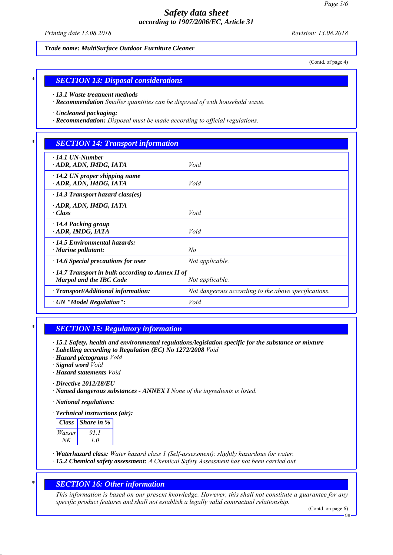*Printing date 13.08.2018 Revision: 13.08.2018*

*Trade name: MultiSurface Outdoor Furniture Cleaner*

(Contd. of page 4)

### *\* SECTION 13: Disposal considerations*

*ꞏ 13.1 Waste treatment methods*

*ꞏ Recommendation Smaller quantities can be disposed of with household waste.*

*ꞏ Uncleaned packaging:*

*ꞏ Recommendation: Disposal must be made according to official regulations.*

## *\* SECTION 14: Transport information*

| $\cdot$ 14.1 UN-Number<br>· ADR, ADN, IMDG, IATA                                          | Void                                                 |
|-------------------------------------------------------------------------------------------|------------------------------------------------------|
| $\cdot$ 14.2 UN proper shipping name<br>ADR, ADN, IMDG, IATA                              | Void                                                 |
| $\cdot$ 14.3 Transport hazard class(es)                                                   |                                                      |
| · ADR, ADN, IMDG, IATA<br>$\cdot Class$                                                   | Void                                                 |
| · 14.4 Packing group<br>ADR, IMDG, IATA                                                   | Void                                                 |
| $\cdot$ 14.5 Environmental hazards:<br>$\cdot$ Marine pollutant:                          | No                                                   |
| $\cdot$ 14.6 Special precautions for user                                                 | Not applicable.                                      |
| $\cdot$ 14.7 Transport in bulk according to Annex II of<br><b>Marpol and the IBC Code</b> | Not applicable.                                      |
| $\cdot$ Transport/Additional information:                                                 | Not dangerous according to the above specifications. |
| $\cdot$ UN "Model Regulation":                                                            | Void                                                 |

### *\* SECTION 15: Regulatory information*

*ꞏ 15.1 Safety, health and environmental regulations/legislation specific for the substance or mixture*

- *ꞏ Labelling according to Regulation (EC) No 1272/2008 Void*
- *ꞏ Hazard pictograms Void*
- *ꞏ Signal word Void*
- *ꞏ Hazard statements Void*

*ꞏ Directive 2012/18/EU*

*ꞏ Named dangerous substances - ANNEX I None of the ingredients is listed.*

*ꞏ National regulations:*

*ꞏ Technical instructions (air):*

| <i>Class</i> | Share in $\%$ |
|--------------|---------------|
| Wasser       | 91.1          |
| NK           | 10            |

- *ꞏ Waterhazard class: Water hazard class 1 (Self-assessment): slightly hazardous for water.*
- *ꞏ 15.2 Chemical safety assessment: A Chemical Safety Assessment has not been carried out.*

### *\* SECTION 16: Other information*

*This information is based on our present knowledge. However, this shall not constitute a guarantee for any specific product features and shall not establish a legally valid contractual relationship.*

(Contd. on page 6)

GB